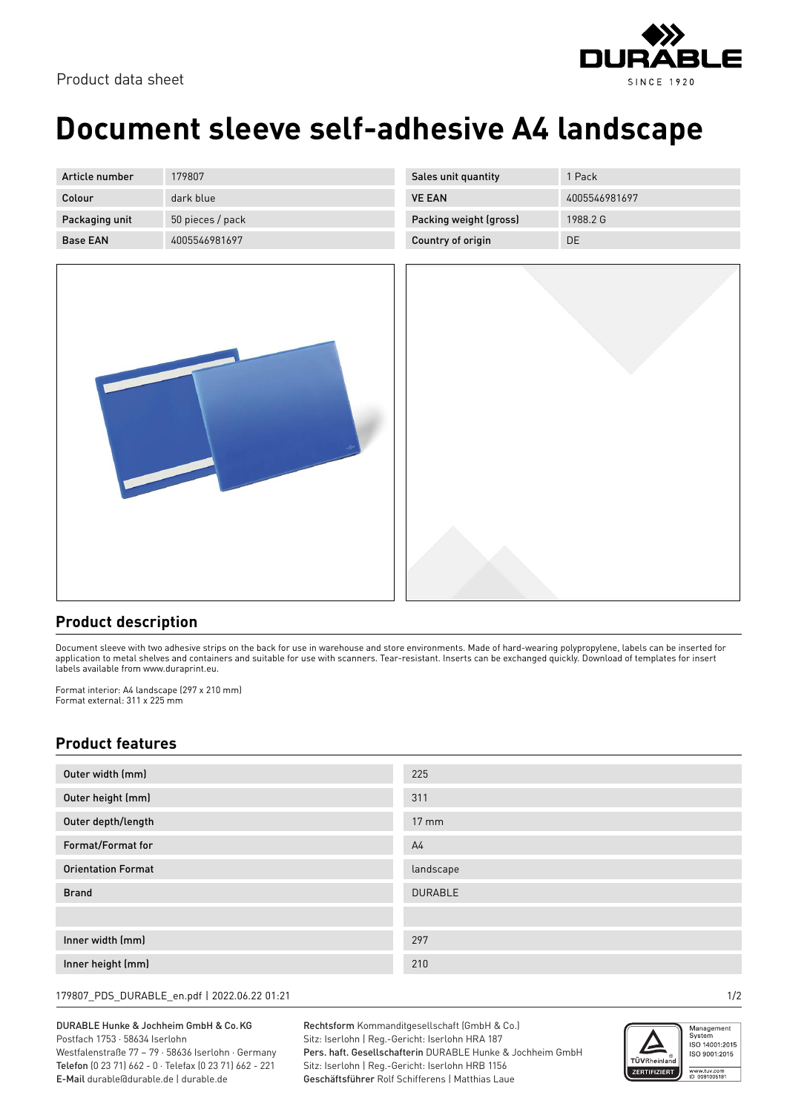

## **Document sleeve self-adhesive A4 landscape**

| Article number  | 179807           |
|-----------------|------------------|
| Colour          | dark blue        |
| Packaging unit  | 50 pieces / pack |
| <b>Base FAN</b> | 4005546981697    |

| Sales unit quantity    | 1 Pack        |
|------------------------|---------------|
| <b>VE FAN</b>          | 4005546981697 |
| Packing weight (gross) | 1988 2 G      |
| Country of origin      | DE.           |
|                        |               |



## **Product description**

Document sleeve with two adhesive strips on the back for use in warehouse and store environments. Made of hard-wearing polypropylene, labels can be inserted for application to metal shelves and containers and suitable for use with scanners. Tear-resistant. Inserts can be exchanged quickly. Download of templates for insert labels available from www.duraprint.eu.

Format interior: A4 landscape (297 x 210 mm) Format external: 311 x 225 mm

## **Product features**

| Outer width (mm)          | 225             |
|---------------------------|-----------------|
| Outer height (mm)         | 311             |
| Outer depth/length        | $17 \text{ mm}$ |
| Format/Format for         | A <sub>4</sub>  |
| <b>Orientation Format</b> | landscape       |
| <b>Brand</b>              | <b>DURABLE</b>  |
|                           |                 |
| Inner width (mm)          | 297             |
| Inner height (mm)         | 210             |

179807\_PDS\_DURABLE\_en.pdf | 2022.06.22 01:21 1/2

DURABLE Hunke & Jochheim GmbH & Co.KG Postfach 1753 · 58634 Iserlohn

Westfalenstraße 77 – 79 · 58636 Iserlohn · Germany Telefon (0 23 71) 662 - 0 · Telefax (0 23 71) 662 - 221 E-Mail durable@durable.de | durable.de

Rechtsform Kommanditgesellschaft (GmbH & Co.) Sitz: Iserlohn | Reg.-Gericht: Iserlohn HRA 187 Pers. haft. Gesellschafterin DURABLE Hunke & Jochheim GmbH Sitz: Iserlohn | Reg.-Gericht: Iserlohn HRB 1156 Geschäftsführer Rolf Schifferens | Matthias Laue